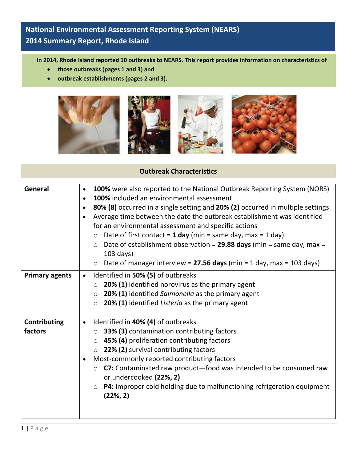## **National Environmental Assessment Reporting System (NEARS) 2014 Summary Report, Rhode Island**

**In 2014, Rhode Island reported 10 outbreaks to NEARS. This report provides information on characteristics of** 

- **those outbreaks (pages 1 and 3) and**
- **outbreak establishments (pages 2 and 3).**



## **Outbreak Characteristics**

| General                        | 100% were also reported to the National Outbreak Reporting System (NORS)<br>$\bullet$<br>100% included an environmental assessment<br>$\bullet$<br>80% (8) occurred in a single setting and 20% (2) occurred in multiple settings<br>$\bullet$<br>Average time between the date the outbreak establishment was identified<br>for an environmental assessment and specific actions<br>Date of first contact = $1$ day (min = same day, max = $1$ day)<br>$\circ$<br>Date of establishment observation = $29.88$ days (min = same day, max =<br>$\circ$ |
|--------------------------------|-------------------------------------------------------------------------------------------------------------------------------------------------------------------------------------------------------------------------------------------------------------------------------------------------------------------------------------------------------------------------------------------------------------------------------------------------------------------------------------------------------------------------------------------------------|
|                                | $103$ days)<br>Date of manager interview = 27.56 days (min = 1 day, max = 103 days)<br>$\circ$                                                                                                                                                                                                                                                                                                                                                                                                                                                        |
| <b>Primary agents</b>          | Identified in 50% (5) of outbreaks<br>$\bullet$<br>20% (1) identified norovirus as the primary agent<br>$\circ$<br>20% (1) identified Salmonella as the primary agent<br>$\circ$<br>20% (1) identified Listeria as the primary agent<br>$\circ$                                                                                                                                                                                                                                                                                                       |
| <b>Contributing</b><br>factors | Identified in 40% (4) of outbreaks<br>$\bullet$<br>33% (3) contamination contributing factors<br>$\circ$<br>45% (4) proliferation contributing factors<br>$\circ$<br>22% (2) survival contributing factors<br>$\circ$<br>Most-commonly reported contributing factors<br>$\bullet$<br>C7: Contaminated raw product-food was intended to be consumed raw<br>$\circ$<br>or undercooked (22%, 2)<br>P4: Improper cold holding due to malfunctioning refrigeration equipment<br>$\circ$<br>(22%, 2)                                                        |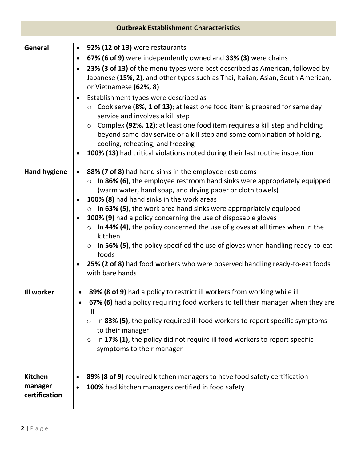| <b>Outbreak Establishment Characteristics</b> |                                                                                                                                                                                                                                                                                                                                                                                                                                                                                                                                                                                                                                                                                                                                                                                                                              |  |
|-----------------------------------------------|------------------------------------------------------------------------------------------------------------------------------------------------------------------------------------------------------------------------------------------------------------------------------------------------------------------------------------------------------------------------------------------------------------------------------------------------------------------------------------------------------------------------------------------------------------------------------------------------------------------------------------------------------------------------------------------------------------------------------------------------------------------------------------------------------------------------------|--|
| General                                       | 92% (12 of 13) were restaurants<br>$\bullet$<br>67% (6 of 9) were independently owned and 33% (3) were chains<br>$\bullet$<br>23% (3 of 13) of the menu types were best described as American, followed by<br>$\bullet$<br>Japanese (15%, 2), and other types such as Thai, Italian, Asian, South American,<br>or Vietnamese (62%, 8)<br>Establishment types were described as<br>$\bullet$<br>Cook serve (8%, 1 of 13); at least one food item is prepared for same day<br>$\circ$<br>service and involves a kill step<br>Complex (92%, 12); at least one food item requires a kill step and holding<br>$\circ$<br>beyond same-day service or a kill step and some combination of holding,<br>cooling, reheating, and freezing<br>100% (13) had critical violations noted during their last routine inspection<br>$\bullet$ |  |
| <b>Hand hygiene</b>                           | 88% (7 of 8) had hand sinks in the employee restrooms<br>In 86% (6), the employee restroom hand sinks were appropriately equipped<br>(warm water, hand soap, and drying paper or cloth towels)<br>100% (8) had hand sinks in the work areas<br>$\bullet$<br>$\circ$ In 63% (5), the work area hand sinks were appropriately equipped<br>100% (9) had a policy concerning the use of disposable gloves<br>$\bullet$<br>In 44% (4), the policy concerned the use of gloves at all times when in the<br>$\circlearrowright$<br>kitchen<br>In 56% (5), the policy specified the use of gloves when handling ready-to-eat<br>$\circlearrowright$<br>foods<br>25% (2 of 8) had food workers who were observed handling ready-to-eat foods<br>$\bullet$<br>with bare hands                                                          |  |
| Ill worker                                    | 89% (8 of 9) had a policy to restrict ill workers from working while ill<br>$\bullet$<br>67% (6) had a policy requiring food workers to tell their manager when they are<br>$\bullet$<br>ill<br>In 83% (5), the policy required ill food workers to report specific symptoms<br>$\circ$<br>to their manager<br>In 17% (1), the policy did not require ill food workers to report specific<br>symptoms to their manager                                                                                                                                                                                                                                                                                                                                                                                                       |  |
| <b>Kitchen</b><br>manager<br>certification    | 89% (8 of 9) required kitchen managers to have food safety certification<br>٠<br>100% had kitchen managers certified in food safety<br>$\bullet$                                                                                                                                                                                                                                                                                                                                                                                                                                                                                                                                                                                                                                                                             |  |